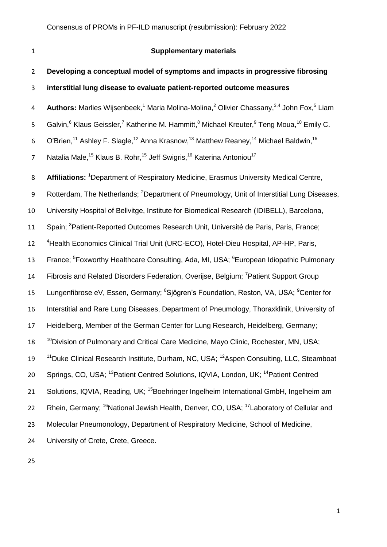# **Supplementary materials**

| $\overline{2}$ | Developing a conceptual model of symptoms and impacts in progressive fibrosing                                                                       |
|----------------|------------------------------------------------------------------------------------------------------------------------------------------------------|
| 3              | interstitial lung disease to evaluate patient-reported outcome measures                                                                              |
| 4              | Authors: Marlies Wijsenbeek, <sup>1</sup> Maria Molina-Molina, <sup>2</sup> Olivier Chassany, <sup>3,4</sup> John Fox, <sup>5</sup> Liam             |
| 5              | Galvin, <sup>6</sup> Klaus Geissler, <sup>7</sup> Katherine M. Hammitt, <sup>8</sup> Michael Kreuter, <sup>9</sup> Teng Moua, <sup>10</sup> Emily C. |
| 6              | O'Brien, <sup>11</sup> Ashley F. Slagle, <sup>12</sup> Anna Krasnow, <sup>13</sup> Matthew Reaney, <sup>14</sup> Michael Baldwin, <sup>15</sup>      |
| $\overline{7}$ | Natalia Male, <sup>15</sup> Klaus B. Rohr, <sup>15</sup> Jeff Swigris, <sup>16</sup> Katerina Antoniou <sup>17</sup>                                 |
| 8              | Affiliations: <sup>1</sup> Department of Respiratory Medicine, Erasmus University Medical Centre,                                                    |
| 9              | Rotterdam, The Netherlands; <sup>2</sup> Department of Pneumology, Unit of Interstitial Lung Diseases,                                               |
| 10             | University Hospital of Bellvitge, Institute for Biomedical Research (IDIBELL), Barcelona,                                                            |
| 11             | Spain; <sup>3</sup> Patient-Reported Outcomes Research Unit, Université de Paris, Paris, France;                                                     |
| 12             | <sup>4</sup> Health Economics Clinical Trial Unit (URC-ECO), Hotel-Dieu Hospital, AP-HP, Paris,                                                      |
| 13             | France; <sup>5</sup> Foxworthy Healthcare Consulting, Ada, MI, USA; <sup>6</sup> European Idiopathic Pulmonary                                       |
| 14             | Fibrosis and Related Disorders Federation, Overijse, Belgium; <sup>7</sup> Patient Support Group                                                     |
| 15             | Lungenfibrose eV, Essen, Germany; <sup>8</sup> Sjögren's Foundation, Reston, VA, USA; <sup>9</sup> Center for                                        |
| 16             | Interstitial and Rare Lung Diseases, Department of Pneumology, Thoraxklinik, University of                                                           |
| 17             | Heidelberg, Member of the German Center for Lung Research, Heidelberg, Germany;                                                                      |
| 18             | <sup>10</sup> Division of Pulmonary and Critical Care Medicine, Mayo Clinic, Rochester, MN, USA;                                                     |
| 19             | <sup>11</sup> Duke Clinical Research Institute, Durham, NC, USA; <sup>12</sup> Aspen Consulting, LLC, Steamboat                                      |
| 20             | Springs, CO, USA; <sup>13</sup> Patient Centred Solutions, IQVIA, London, UK; <sup>14</sup> Patient Centred                                          |
| 21             | Solutions, IQVIA, Reading, UK; <sup>15</sup> Boehringer Ingelheim International GmbH, Ingelheim am                                                   |
| 22             | Rhein, Germany; <sup>16</sup> National Jewish Health, Denver, CO, USA; <sup>17</sup> Laboratory of Cellular and                                      |
| 23             | Molecular Pneumonology, Department of Respiratory Medicine, School of Medicine,                                                                      |
| 24             | University of Crete, Crete, Greece.                                                                                                                  |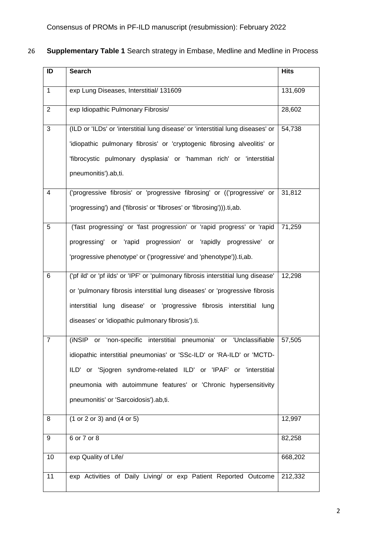| 26 Supplementary Table 1 Search strategy in Embase, Medline and Medline in Process |  |  |  |  |  |
|------------------------------------------------------------------------------------|--|--|--|--|--|
|------------------------------------------------------------------------------------|--|--|--|--|--|

| ID             | <b>Search</b>                                                                     | <b>Hits</b> |
|----------------|-----------------------------------------------------------------------------------|-------------|
| $\mathbf{1}$   | exp Lung Diseases, Interstitial/ 131609                                           | 131,609     |
| $\overline{2}$ | exp Idiopathic Pulmonary Fibrosis/                                                | 28,602      |
| 3              | (ILD or 'ILDs' or 'interstitial lung disease' or 'interstitial lung diseases' or  | 54,738      |
|                | 'idiopathic pulmonary fibrosis' or 'cryptogenic fibrosing alveolitis' or          |             |
|                | 'fibrocystic pulmonary dysplasia' or 'hamman rich' or 'interstitial               |             |
|                | pneumonitis').ab,ti.                                                              |             |
| 4              | ('progressive fibrosis' or 'progressive fibrosing' or (('progressive' or          | 31,812      |
|                | 'progressing') and ('fibrosis' or 'fibroses' or 'fibrosing'))).ti,ab.             |             |
| 5              | ('fast progressing' or 'fast progression' or 'rapid progress' or 'rapid           | 71,259      |
|                | progressing' or 'rapid progression' or 'rapidly progressive' or                   |             |
|                | 'progressive phenotype' or ('progressive' and 'phenotype')).ti,ab.                |             |
| 6              | ('pf ild' or 'pf ilds' or 'IPF' or 'pulmonary fibrosis interstitial lung disease' | 12,298      |
|                | or 'pulmonary fibrosis interstitial lung diseases' or 'progressive fibrosis       |             |
|                | interstitial lung disease' or 'progressive fibrosis interstitial lung             |             |
|                | diseases' or 'idiopathic pulmonary fibrosis').ti.                                 |             |
| $\overline{7}$ | (iNSIP or 'non-specific interstitial pneumonia' or 'Unclassifiable                | 57,505      |
|                | idiopathic interstitial pneumonias' or 'SSc-ILD' or 'RA-ILD' or 'MCTD-            |             |
|                | ILD' or 'Sjogren syndrome-related ILD' or 'IPAF' or 'interstitial                 |             |
|                | pneumonia with autoimmune features' or 'Chronic hypersensitivity                  |             |
|                | pneumonitis' or 'Sarcoidosis').ab,ti.                                             |             |
| 8              | $(1 or 2 or 3)$ and $(4 or 5)$                                                    | 12,997      |
| 9              | 6 or 7 or 8                                                                       | 82,258      |
| 10             | exp Quality of Life/                                                              | 668,202     |
| 11             | exp Activities of Daily Living/ or exp Patient Reported Outcome                   | 212,332     |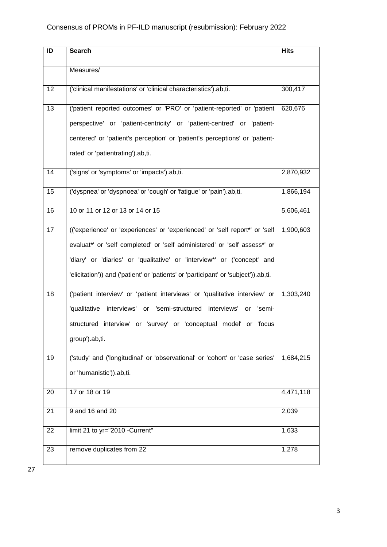| ID | <b>Search</b>                                                                       | <b>Hits</b> |
|----|-------------------------------------------------------------------------------------|-------------|
|    | Measures/                                                                           |             |
| 12 | ('clinical manifestations' or 'clinical characteristics').ab,ti.                    | 300,417     |
| 13 | ('patient reported outcomes' or 'PRO' or 'patient-reported' or 'patient             | 620,676     |
|    | perspective' or 'patient-centricity' or 'patient-centred' or 'patient-              |             |
|    | centered' or 'patient's perception' or 'patient's perceptions' or 'patient-         |             |
|    | rated' or 'patientrating').ab,ti.                                                   |             |
| 14 | ('signs' or 'symptoms' or 'impacts').ab,ti.                                         | 2,870,932   |
| 15 | ('dyspnea' or 'dyspnoea' or 'cough' or 'fatigue' or 'pain').ab,ti.                  | 1,866,194   |
| 16 | 10 or 11 or 12 or 13 or 14 or 15                                                    | 5,606,461   |
| 17 | (('experience' or 'experiences' or 'experienced' or 'self report*' or 'self         | 1,900,603   |
|    | evaluat*' or 'self completed' or 'self administered' or 'self assess*' or           |             |
|    | 'diary' or 'diaries' or 'qualitative' or 'interview*' or ('concept' and             |             |
|    | 'elicitation')) and ('patient' or 'patients' or 'participant' or 'subject')).ab,ti. |             |
| 18 | ('patient interview' or 'patient interviews' or 'qualitative interview' or          | 1,303,240   |
|    | 'qualitative interviews' or 'semi-structured interviews'<br>or<br>'semi-            |             |
|    | structured interview' or 'survey' or 'conceptual model' or 'focus                   |             |
|    | group').ab,ti.                                                                      |             |
| 19 | ('study' and ('longitudinal' or 'observational' or 'cohort' or 'case series'        | 1,684,215   |
|    | or 'humanistic')).ab,ti.                                                            |             |
| 20 | 17 or 18 or 19                                                                      | 4,471,118   |
| 21 | 9 and 16 and $20$                                                                   | 2,039       |
| 22 | limit 21 to yr="2010 -Current"                                                      | 1,633       |
| 23 | remove duplicates from 22                                                           | 1,278       |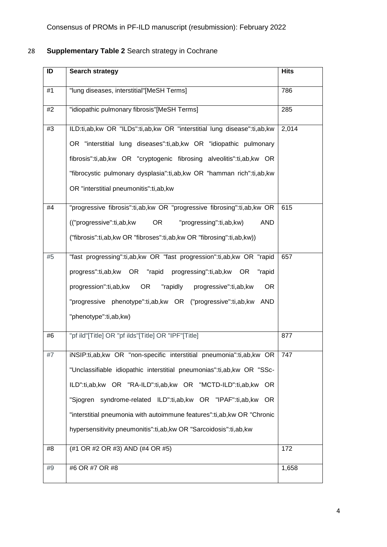### 28 **Supplementary Table 2** Search strategy in Cochrane

| ID | <b>Search strategy</b>                                                                                                                                                                                                                                                                                                                                                                                                              | <b>Hits</b> |
|----|-------------------------------------------------------------------------------------------------------------------------------------------------------------------------------------------------------------------------------------------------------------------------------------------------------------------------------------------------------------------------------------------------------------------------------------|-------------|
| #1 | "lung diseases, interstitial"[MeSH Terms]                                                                                                                                                                                                                                                                                                                                                                                           | 786         |
| #2 | "idiopathic pulmonary fibrosis"[MeSH Terms]                                                                                                                                                                                                                                                                                                                                                                                         | 285         |
| #3 | ILD:ti,ab,kw OR "ILDs":ti,ab,kw OR "interstitial lung disease":ti,ab,kw<br>OR "interstitial lung diseases":ti,ab,kw OR "idiopathic pulmonary<br>fibrosis":ti,ab,kw OR "cryptogenic fibrosing alveolitis":ti,ab,kw OR<br>"fibrocystic pulmonary dysplasia":ti,ab,kw OR "hamman rich":ti,ab,kw<br>OR "interstitial pneumonitis":ti,ab,kw                                                                                              | 2,014       |
| #4 | "progressive fibrosis":ti,ab,kw OR "progressive fibrosing":ti,ab,kw OR<br><b>OR</b><br><b>AND</b><br>("progressive":ti,ab,kw<br>"progressing":ti,ab,kw)<br>("fibrosis":ti,ab,kw OR "fibroses":ti,ab,kw OR "fibrosing":ti,ab,kw))                                                                                                                                                                                                    | 615         |
| #5 | "fast progressing":ti,ab,kw OR "fast progression":ti,ab,kw OR "rapid<br>progress":ti,ab,kw OR "rapid progressing":ti,ab,kw OR<br>"rapid<br>progression":ti,ab,kw<br>OR <sub>.</sub><br>"rapidly<br>progressive":ti,ab,kw<br><b>OR</b><br>"progressive phenotype":ti,ab,kw OR ("progressive":ti,ab,kw AND<br>"phenotype":ti,ab,kw)                                                                                                   | 657         |
| #6 | "pf ild"[Title] OR "pf ilds"[Title] OR "IPF"[Title]                                                                                                                                                                                                                                                                                                                                                                                 | 877         |
| #7 | iNSIP:ti,ab,kw OR "non-specific interstitial pneumonia":ti,ab,kw OR   747<br>"Unclassifiable idiopathic interstitial pneumonias":ti,ab,kw OR "SSc-<br>ILD":ti,ab,kw OR "RA-ILD":ti,ab,kw OR "MCTD-ILD":ti,ab,kw OR<br>"Sjogren syndrome-related ILD":ti,ab,kw OR "IPAF":ti,ab,kw OR<br>"interstitial pneumonia with autoimmune features":ti, ab, kw OR "Chronic<br>hypersensitivity pneumonitis":ti,ab,kw OR "Sarcoidosis":ti,ab,kw |             |
| #8 | (#1 OR #2 OR #3) AND (#4 OR #5)                                                                                                                                                                                                                                                                                                                                                                                                     | 172         |
| #9 | #6 OR #7 OR #8                                                                                                                                                                                                                                                                                                                                                                                                                      | 1,658       |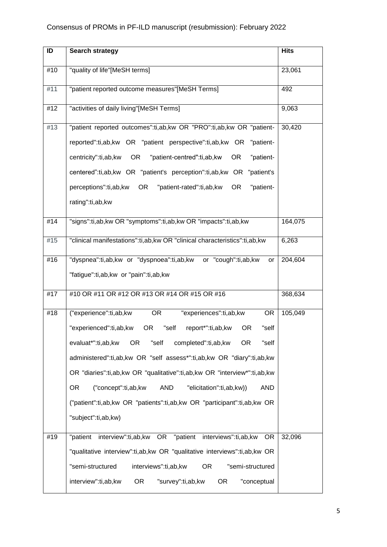| ID  | Search strategy                                                                          | <b>Hits</b> |
|-----|------------------------------------------------------------------------------------------|-------------|
| #10 | "quality of life"[MeSH terms]                                                            | 23,061      |
| #11 | "patient reported outcome measures"[MeSH Terms]                                          | 492         |
| #12 | "activities of daily living"[MeSH Terms]                                                 | 9,063       |
| #13 | "patient reported outcomes":ti,ab,kw OR "PRO":ti,ab,kw OR "patient-                      | 30,420      |
|     | reported":ti,ab,kw OR "patient perspective":ti,ab,kw OR "patient-                        |             |
|     | centricity":ti,ab,kw<br>OR<br>"patient-centred":ti,ab,kw<br><b>OR</b><br>"patient-       |             |
|     | centered":ti,ab,kw OR "patient's perception":ti,ab,kw OR "patient's                      |             |
|     | perceptions":ti,ab,kw<br><b>OR</b><br>"patient-rated":ti,ab,kw<br><b>OR</b><br>"patient- |             |
|     | rating":ti,ab,kw                                                                         |             |
| #14 | "signs":ti,ab,kw OR "symptoms":ti,ab,kw OR "impacts":ti,ab,kw                            | 164,075     |
| #15 | "clinical manifestations":ti,ab,kw OR "clinical characteristics":ti,ab,kw                | 6,263       |
| #16 | "dyspnea":ti,ab,kw or "dyspnoea":ti,ab,kw or "cough":ti,ab,kw<br>or                      | 204,604     |
|     | "fatigue":ti,ab,kw or "pain":ti,ab,kw                                                    |             |
| #17 | #10 OR #11 OR #12 OR #13 OR #14 OR #15 OR #16                                            | 368,634     |
| #18 | ("experience":ti,ab,kw<br>"experiences":ti,ab,kw<br><b>OR</b><br><b>OR</b>               | 105,049     |
|     | "experienced":ti,ab,kw<br><b>OR</b><br>"self<br>report*":ti,ab,kw<br><b>OR</b><br>"self  |             |
|     | evaluat*":ti,ab,kw<br>OR.<br>"self<br><b>OR</b><br>"self<br>completed":ti,ab,kw          |             |
|     | administered":ti,ab,kw OR "self assess*":ti,ab,kw OR "diary":ti,ab,kw                    |             |
|     | OR "diaries":ti,ab,kw OR "qualitative":ti,ab,kw OR "interview*":ti,ab,kw                 |             |
|     | <b>OR</b><br>("concept":ti,ab,kw<br>AND<br>"elicitation":ti,ab,kw))<br><b>AND</b>        |             |
|     | ("patient":ti,ab,kw OR "patients":ti,ab,kw OR "participant":ti,ab,kw OR                  |             |
|     | "subject":ti,ab,kw)                                                                      |             |
| #19 | interview":ti,ab,kw OR "patient interviews":ti,ab,kw<br>"patient<br><b>OR</b>            | 32,096      |
|     | "qualitative interview":ti,ab,kw OR "qualitative interviews":ti,ab,kw OR                 |             |
|     | "semi-structured<br>"semi-structured<br>interviews":ti,ab,kw<br>OR.                      |             |
|     | <b>OR</b><br><b>OR</b><br>interview":ti,ab,kw<br>"survey":ti,ab,kw<br>"conceptual        |             |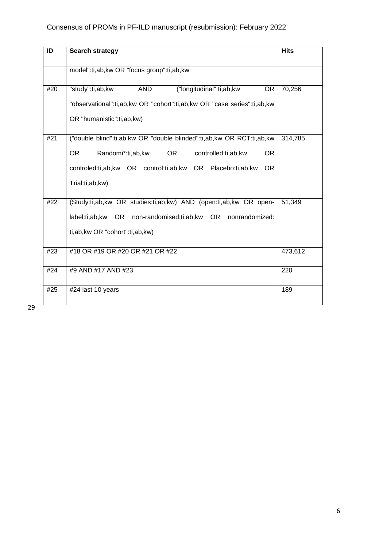| ID  | <b>Search strategy</b>                                                                                                                                                                                                               | <b>Hits</b> |
|-----|--------------------------------------------------------------------------------------------------------------------------------------------------------------------------------------------------------------------------------------|-------------|
|     | model":ti,ab,kw OR "focus group":ti,ab,kw                                                                                                                                                                                            |             |
| #20 | ("longitudinal":ti,ab,kw<br>"study":ti,ab,kw<br><b>AND</b><br><b>OR</b><br>"observational":ti,ab,kw OR "cohort":ti,ab,kw OR "case series":ti,ab,kw<br>OR "humanistic":ti,ab,kw)                                                      | 70,256      |
| #21 | ("double blind":ti,ab,kw OR "double blinded":ti,ab,kw OR RCT:ti,ab,kw<br>OR.<br><b>OR</b><br>Randomi*:ti,ab,kw<br>controlled:ti,ab,kw<br>OR.<br>controled:ti,ab,kw OR control:ti,ab,kw OR Placebo:ti,ab,kw<br>OR.<br>Trial:ti,ab,kw) | 314,785     |
| #22 | (Study:ti,ab,kw OR studies:ti,ab,kw) AND (open:ti,ab,kw OR open-<br>label:ti,ab,kw OR non-randomised:ti,ab,kw OR nonrandomized:<br>ti, ab, kw OR "cohort": ti, ab, kw)                                                               | 51,349      |
| #23 | #18 OR #19 OR #20 OR #21 OR #22                                                                                                                                                                                                      | 473,612     |
| #24 | #9 AND #17 AND #23                                                                                                                                                                                                                   | 220         |
| #25 | #24 last 10 years                                                                                                                                                                                                                    | 189         |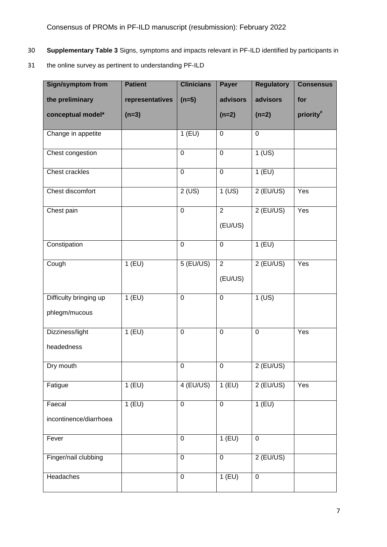- 30 **Supplementary Table 3** Signs, symptoms and impacts relevant in PF-ILD identified by participants in
- 31 the online survey as pertinent to understanding PF-ILD

| <b>Sign/symptom from</b> | <b>Patient</b>  | <b>Clinicians</b> | Payer          | <b>Regulatory</b> | <b>Consensus</b>      |
|--------------------------|-----------------|-------------------|----------------|-------------------|-----------------------|
| the preliminary          | representatives | $(n=5)$           | advisors       | advisors          | for                   |
| conceptual model*        | $(n=3)$         |                   | $(n=2)$        | $(n=2)$           | priority <sup>#</sup> |
| Change in appetite       |                 | $1$ (EU)          | $\pmb{0}$      | $\pmb{0}$         |                       |
| Chest congestion         |                 | $\mathbf 0$       | $\mathbf 0$    | $1$ (US)          |                       |
| <b>Chest crackles</b>    |                 | $\mathbf 0$       | $\overline{0}$ | 1(EU)             |                       |
| Chest discomfort         |                 | 2 (US)            | $1$ (US)       | $2$ (EU/US)       | Yes                   |
| Chest pain               |                 | $\mathbf 0$       | $\overline{2}$ | $2$ (EU/US)       | Yes                   |
|                          |                 |                   | (EU/US)        |                   |                       |
| Constipation             |                 | $\overline{0}$    | $\mathbf 0$    | 1(EU)             |                       |
| Cough                    | 1(EU)           | $5$ (EU/US)       | $\overline{2}$ | $2$ (EU/US)       | Yes                   |
|                          |                 |                   | (EU/US)        |                   |                       |
| Difficulty bringing up   | $1$ (EU)        | $\mathbf 0$       | $\pmb{0}$      | $1$ (US)          |                       |
| phlegm/mucous            |                 |                   |                |                   |                       |
| Dizziness/light          | $1$ (EU)        | $\mathbf 0$       | $\mathbf 0$    | $\mathbf 0$       | Yes                   |
| headedness               |                 |                   |                |                   |                       |
| Dry mouth                |                 | $\boldsymbol{0}$  | $\pmb{0}$      | $2$ (EU/US)       |                       |
| Fatigue                  | 1(EU)           | 4 (EU/US)         | 1(EU)          | $2$ (EU/US)       | Yes                   |
| Faecal                   | 1(EU)           | $\mathbf 0$       | $\mathbf 0$    | 1(EU)             |                       |
| incontinence/diarrhoea   |                 |                   |                |                   |                       |
| Fever                    |                 | $\mathbf 0$       | 1(EU)          | $\pmb{0}$         |                       |
| Finger/nail clubbing     |                 | $\pmb{0}$         | $\pmb{0}$      | $2$ (EU/US)       |                       |
| Headaches                |                 | $\pmb{0}$         | $1$ (EU)       | $\pmb{0}$         |                       |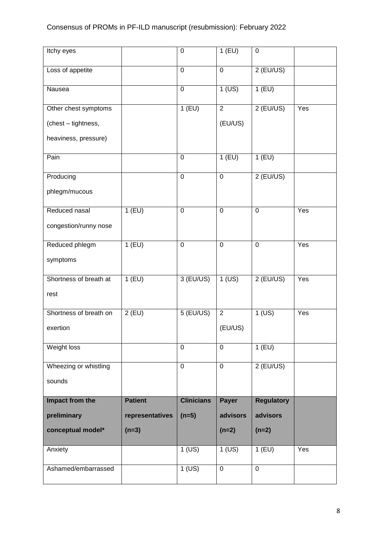| Itchy eyes             |                 | $\mathbf 0$       | 1(EU)          | $\pmb{0}$         |     |
|------------------------|-----------------|-------------------|----------------|-------------------|-----|
| Loss of appetite       |                 | 0                 | $\pmb{0}$      | $2$ (EU/US)       |     |
| Nausea                 |                 | 0                 | $1$ (US)       | $1$ (EU)          |     |
| Other chest symptoms   |                 | 1(EU)             | $\overline{2}$ | $2$ (EU/US)       | Yes |
| (chest - tightness,    |                 |                   | (EU/US)        |                   |     |
| heaviness, pressure)   |                 |                   |                |                   |     |
| Pain                   |                 | 0                 | $1$ (EU)       | $1$ (EU)          |     |
| Producing              |                 | $\mathbf 0$       | $\mathbf 0$    | $2$ (EU/US)       |     |
| phlegm/mucous          |                 |                   |                |                   |     |
| Reduced nasal          | 1(EU)           | $\mathbf 0$       | $\mathbf 0$    | $\pmb{0}$         | Yes |
| congestion/runny nose  |                 |                   |                |                   |     |
| Reduced phlegm         | 1(EU)           | $\mathbf 0$       | $\mathbf 0$    | $\mathbf 0$       | Yes |
| symptoms               |                 |                   |                |                   |     |
| Shortness of breath at | 1(EU)           | 3 (EU/US)         | $1$ (US)       | $2$ (EU/US)       | Yes |
| rest                   |                 |                   |                |                   |     |
| Shortness of breath on | $2$ (EU)        | $5$ (EU/US)       | $\overline{2}$ | $1$ (US)          | Yes |
| exertion               |                 |                   | (EU/US)        |                   |     |
| Weight loss            |                 | 0                 | $\mathbf 0$    | $1$ (EU)          |     |
| Wheezing or whistling  |                 | 0                 | $\mathbf 0$    | $2$ (EU/US)       |     |
| sounds                 |                 |                   |                |                   |     |
| Impact from the        | <b>Patient</b>  | <b>Clinicians</b> | <b>Payer</b>   | <b>Regulatory</b> |     |
| preliminary            | representatives | $(n=5)$           | advisors       | advisors          |     |
| conceptual model*      | $(n=3)$         |                   | $(n=2)$        | $(n=2)$           |     |
| Anxiety                |                 | $1$ (US)          | $1$ (US)       | $1$ (EU)          | Yes |
| Ashamed/embarrassed    |                 | $1$ (US)          | $\mathbf 0$    | $\mathbf 0$       |     |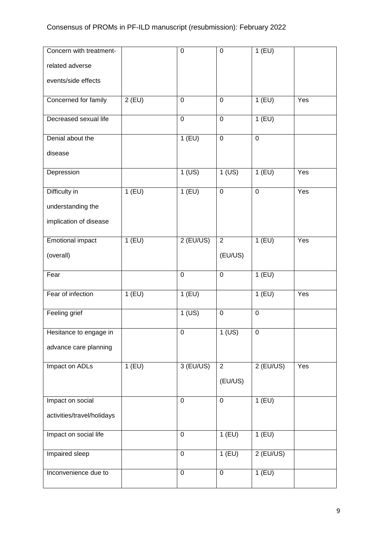| Concern with treatment-    |          | $\mathbf 0$    | $\mathbf 0$    | $1$ (EU)         |     |
|----------------------------|----------|----------------|----------------|------------------|-----|
| related adverse            |          |                |                |                  |     |
| events/side effects        |          |                |                |                  |     |
| Concerned for family       | $2$ (EU) | $\overline{0}$ | $\mathbf 0$    | 1(EU)            | Yes |
| Decreased sexual life      |          | $\mathbf 0$    | $\mathbf 0$    | 1(EU)            |     |
| Denial about the           |          | 1(EU)          | $\mathbf 0$    | $\mathbf 0$      |     |
| disease                    |          |                |                |                  |     |
| Depression                 |          | $1$ (US)       | $1$ (US)       | $1$ (EU)         | Yes |
| Difficulty in              | $1$ (EU) | 1(EU)          | $\mathbf 0$    | $\boldsymbol{0}$ | Yes |
| understanding the          |          |                |                |                  |     |
| implication of disease     |          |                |                |                  |     |
| Emotional impact           | 1(EU)    | $2$ (EU/US)    | $\overline{2}$ | 1(EU)            | Yes |
| (overall)                  |          |                | (EU/US)        |                  |     |
| Fear                       |          | $\overline{0}$ | $\overline{0}$ | 1(EU)            |     |
| Fear of infection          | 1(EU)    | $1$ (EU)       |                | 1(EU)            | Yes |
| Feeling grief              |          | $1$ (US)       | $\pmb{0}$      | $\pmb{0}$        |     |
| Hesitance to engage in     |          | 0              | $1$ (US)       | $\pmb{0}$        |     |
| advance care planning      |          |                |                |                  |     |
| Impact on ADLs             | 1(EU)    | $3$ (EU/US)    | $\overline{2}$ | $2$ (EU/US)      | Yes |
|                            |          |                | (EU/US)        |                  |     |
| Impact on social           |          | $\mathbf 0$    | $\mathbf 0$    | 1(EU)            |     |
| activities/travel/holidays |          |                |                |                  |     |
| Impact on social life      |          | $\mathbf 0$    | $1$ (EU)       | 1(EU)            |     |
| <b>Impaired sleep</b>      |          | $\mathbf 0$    | 1(EU)          | $2$ (EU/US)      |     |
| Inconvenience due to       |          | $\mathbf 0$    | 0              | 1(EU)            |     |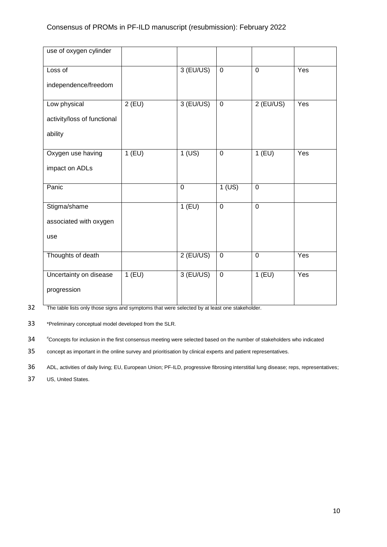| use of oxygen cylinder      |          |             |                |             |     |
|-----------------------------|----------|-------------|----------------|-------------|-----|
| Loss of                     |          | $3$ (EU/US) | $\mathbf 0$    | $\mathbf 0$ | Yes |
| independence/freedom        |          |             |                |             |     |
| Low physical                | $2$ (EU) | 3 (EU/US)   | $\overline{0}$ | $2$ (EU/US) | Yes |
| activity/loss of functional |          |             |                |             |     |
| ability                     |          |             |                |             |     |
| Oxygen use having           | $1$ (EU) | $1$ (US)    | $\mathbf 0$    | $1$ (EU)    | Yes |
| impact on ADLs              |          |             |                |             |     |
| Panic                       |          | $\mathbf 0$ | $1$ (US)       | $\mathbf 0$ |     |
| Stigma/shame                |          | 1(EU)       | $\overline{0}$ | $\mathbf 0$ |     |
| associated with oxygen      |          |             |                |             |     |
| use                         |          |             |                |             |     |
| Thoughts of death           |          | $2$ (EU/US) | $\mathbf 0$    | $\mathbf 0$ | Yes |
| Uncertainty on disease      | $1$ (EU) | $3$ (EU/US) | $\mathbf 0$    | 1(EU)       | Yes |
| progression                 |          |             |                |             |     |

32 The table lists only those signs and symptoms that were selected by at least one stakeholder.

33 \*Preliminary conceptual model developed from the SLR.

34 <sup>#</sup> Concepts for inclusion in the first consensus meeting were selected based on the number of stakeholders who indicated

35 concept as important in the online survey and prioritisation by clinical experts and patient representatives.

36 ADL, activities of daily living; EU, European Union; PF-ILD, progressive fibrosing interstitial lung disease; reps, representatives;

37 US, United States.